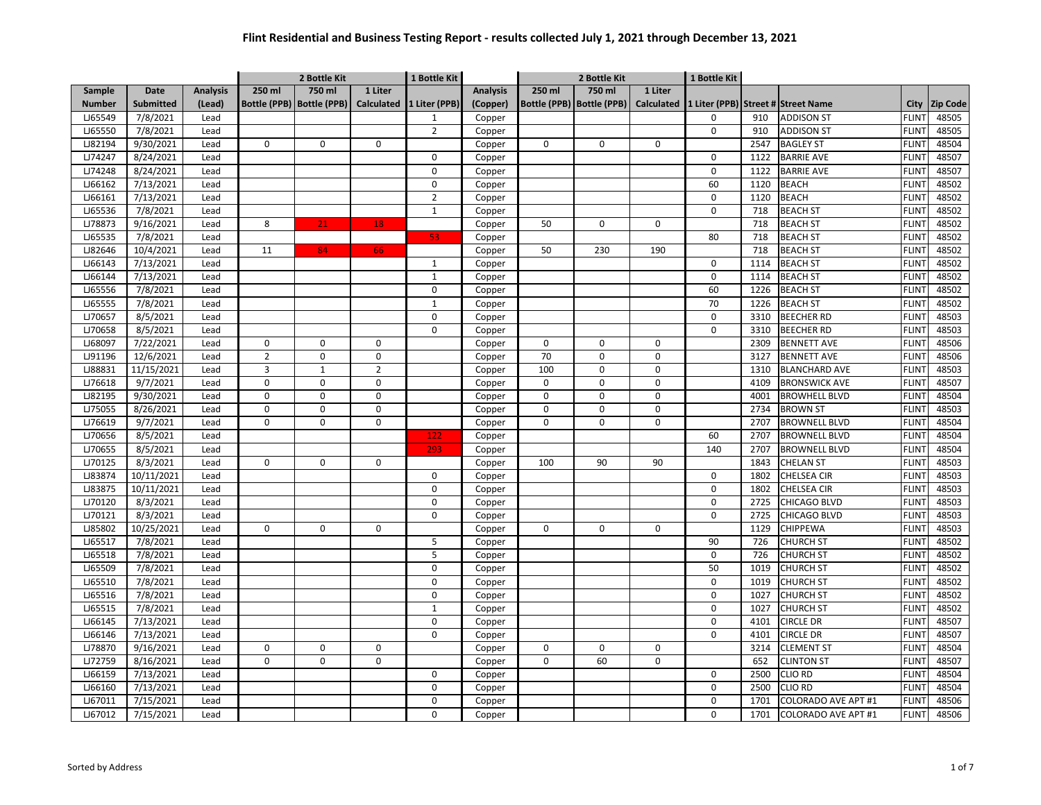|               |                  |                 |                | 2 Bottle Kit              |                | 1 Bottle Kit             |                 |             | 2 Bottle Kit                |                   | 1 Bottle Kit                       |      |                            |              |                 |
|---------------|------------------|-----------------|----------------|---------------------------|----------------|--------------------------|-----------------|-------------|-----------------------------|-------------------|------------------------------------|------|----------------------------|--------------|-----------------|
| Sample        | Date             | <b>Analysis</b> | 250 ml         | 750 ml                    | 1 Liter        |                          | <b>Analysis</b> | 250 ml      | 750 ml                      | 1 Liter           |                                    |      |                            |              |                 |
| <b>Number</b> | <b>Submitted</b> | (Lead)          |                | Bottle (PPB) Bottle (PPB) |                | Calculated 1 Liter (PPB) | (Copper)        |             | Bottle (PPB)   Bottle (PPB) | <b>Calculated</b> | 1 Liter (PPB) Street # Street Name |      |                            | City         | <b>Zip Code</b> |
| LJ65549       | 7/8/2021         | Lead            |                |                           |                | $\mathbf{1}$             | Copper          |             |                             |                   | 0                                  | 910  | <b>ADDISON ST</b>          | <b>FLINT</b> | 48505           |
| LJ65550       | 7/8/2021         | Lead            |                |                           |                | $\overline{2}$           | Copper          |             |                             |                   | 0                                  | 910  | <b>ADDISON ST</b>          | <b>FLINT</b> | 48505           |
| LJ82194       | 9/30/2021        | Lead            | 0              | 0                         | $\mathbf 0$    |                          | Copper          | $\Omega$    | 0                           | 0                 |                                    | 2547 | <b>BAGLEY ST</b>           | <b>FLINT</b> | 48504           |
| LJ74247       | 8/24/2021        | Lead            |                |                           |                | 0                        | Copper          |             |                             |                   | $\mathsf 0$                        | 1122 | <b>BARRIE AVE</b>          | <b>FLIN</b>  | 48507           |
| LJ74248       | 8/24/2021        | Lead            |                |                           |                | 0                        | Copper          |             |                             |                   | $\mathbf 0$                        | 1122 | <b>BARRIE AVE</b>          | <b>FLINT</b> | 48507           |
| LJ66162       | 7/13/2021        | Lead            |                |                           |                | 0                        | Copper          |             |                             |                   | 60                                 | 1120 | <b>BEACH</b>               | <b>FLINT</b> | 48502           |
| LJ66161       | 7/13/2021        | Lead            |                |                           |                | $\overline{2}$           | Copper          |             |                             |                   | 0                                  | 1120 | <b>BEACH</b>               | <b>FLINT</b> | 48502           |
| LJ65536       | 7/8/2021         | Lead            |                |                           |                | $\mathbf{1}$             | Copper          |             |                             |                   | 0                                  | 718  | <b>BEACH ST</b>            | <b>FLINT</b> | 48502           |
| LJ78873       | 9/16/2021        | Lead            | 8              | 21                        | 18             |                          | Copper          | 50          | 0                           | 0                 |                                    | 718  | <b>BEACH ST</b>            | <b>FLINT</b> | 48502           |
| LJ65535       | 7/8/2021         | Lead            |                |                           |                | 53                       | Copper          |             |                             |                   | 80                                 | 718  | <b>BEACH ST</b>            | <b>FLINT</b> | 48502           |
| LJ82646       | 10/4/2021        | Lead            | 11             | 84                        | 66             |                          | Copper          | 50          | 230                         | 190               |                                    | 718  | <b>BEACH ST</b>            | <b>FLINT</b> | 48502           |
| LJ66143       | 7/13/2021        | Lead            |                |                           |                | $\mathbf{1}$             | Copper          |             |                             |                   | $\mathbf 0$                        | 1114 | <b>BEACH ST</b>            | <b>FLINT</b> | 48502           |
| LJ66144       | 7/13/2021        | Lead            |                |                           |                | $\mathbf{1}$             | Copper          |             |                             |                   | 0                                  | 1114 | <b>BEACH ST</b>            | <b>FLINT</b> | 48502           |
| LJ65556       | 7/8/2021         | Lead            |                |                           |                | 0                        | Copper          |             |                             |                   | 60                                 | 1226 | <b>BEACH ST</b>            | <b>FLINT</b> | 48502           |
| LJ65555       | 7/8/2021         | Lead            |                |                           |                | $\mathbf{1}$             | Copper          |             |                             |                   | 70                                 | 1226 | <b>BEACH ST</b>            | <b>FLINT</b> | 48502           |
| LJ70657       | 8/5/2021         | Lead            |                |                           |                | 0                        | Copper          |             |                             |                   | $\mathbf 0$                        | 3310 | <b>BEECHER RD</b>          | <b>FLINT</b> | 48503           |
| LJ70658       | 8/5/2021         | Lead            |                |                           |                | $\overline{0}$           | Copper          |             |                             |                   | $\mathbf 0$                        | 3310 | <b>BEECHER RD</b>          | <b>FLINT</b> | 48503           |
| LJ68097       | 7/22/2021        | Lead            | 0              | 0                         | $\mathbf 0$    |                          | Copper          | $\mathbf 0$ | $\mathbf 0$                 | 0                 |                                    | 2309 | <b>BENNETT AVE</b>         | <b>FLINT</b> | 48506           |
| LJ91196       | 12/6/2021        | Lead            | $\overline{2}$ | 0                         | $\mathbf 0$    |                          | Copper          | 70          | $\pmb{0}$                   | $\mathbf 0$       |                                    | 3127 | <b>BENNETT AVE</b>         | <b>FLINT</b> | 48506           |
| LJ88831       | 11/15/2021       | Lead            | 3              | $\mathbf{1}$              | $\overline{2}$ |                          | Copper          | 100         | $\mathsf 0$                 | $\Omega$          |                                    | 1310 | <b>BLANCHARD AVE</b>       | <b>FLINT</b> | 48503           |
| LJ76618       | 9/7/2021         | Lead            | $\mathsf{o}$   | 0                         | $\mathbf 0$    |                          | Copper          | $\Omega$    | $\mathsf 0$                 | 0                 |                                    | 4109 | <b>BRONSWICK AVE</b>       | <b>FLINT</b> | 48507           |
| LJ82195       | 9/30/2021        | Lead            | 0              | $\mathbf 0$               | $\mathbf 0$    |                          | Copper          | $\Omega$    | $\mathbf 0$                 | 0                 |                                    | 4001 | <b>BROWHELL BLVD</b>       | <b>FLINT</b> | 48504           |
| LJ75055       | 8/26/2021        | Lead            | $\mathsf{o}$   | $\Omega$                  | $\Omega$       |                          | Copper          | $\Omega$    | $\mathbf 0$                 | $\Omega$          |                                    | 2734 | <b>BROWN ST</b>            | <b>FLIN</b>  | 48503           |
| LJ76619       | 9/7/2021         | Lead            | 0              | $\Omega$                  | $\mathbf 0$    |                          | Copper          | $\Omega$    | $\mathbf 0$                 | 0                 |                                    | 2707 | <b>BROWNELL BLVD</b>       | <b>FLIN</b>  | 48504           |
| LJ70656       | 8/5/2021         | Lead            |                |                           |                | 122                      | Copper          |             |                             |                   | 60                                 | 2707 | <b>BROWNELL BLVD</b>       | <b>FLINT</b> | 48504           |
| LJ70655       | 8/5/2021         | Lead            |                |                           |                | 293                      | Copper          |             |                             |                   | 140                                | 2707 | <b>BROWNELL BLVD</b>       | <b>FLIN</b>  | 48504           |
| LJ70125       | 8/3/2021         | Lead            | 0              | 0                         | $\Omega$       |                          | Copper          | 100         | 90                          | 90                |                                    | 1843 | CHELAN ST                  | <b>FLINT</b> | 48503           |
| LJ83874       | 10/11/2021       | Lead            |                |                           |                | 0                        | Copper          |             |                             |                   | 0                                  | 1802 | CHELSEA CIR                | <b>FLIN</b>  | 48503           |
| LJ83875       | 10/11/2021       | Lead            |                |                           |                | 0                        | Copper          |             |                             |                   | 0                                  | 1802 | CHELSEA CIR                | <b>FLINT</b> | 48503           |
| LJ70120       | 8/3/2021         | Lead            |                |                           |                | 0                        | Copper          |             |                             |                   | 0                                  | 2725 | CHICAGO BLVD               | <b>FLINT</b> | 48503           |
| LJ70121       | 8/3/2021         | Lead            |                |                           |                | 0                        | Copper          |             |                             |                   | 0                                  | 2725 | CHICAGO BLVD               | <b>FLINT</b> | 48503           |
| LJ85802       | 10/25/2021       | Lead            | 0              | 0                         | $\mathbf 0$    |                          | Copper          | $\mathbf 0$ | $\mathbf 0$                 | 0                 |                                    | 1129 | <b>CHIPPEWA</b>            | <b>FLINT</b> | 48503           |
| LJ65517       | 7/8/2021         | Lead            |                |                           |                | 5                        | Copper          |             |                             |                   | 90                                 | 726  | <b>CHURCH ST</b>           | <b>FLINT</b> | 48502           |
| LJ65518       | 7/8/2021         | Lead            |                |                           |                | 5                        | Copper          |             |                             |                   | $\mathbf 0$                        | 726  | <b>CHURCH ST</b>           | <b>FLINT</b> | 48502           |
| LJ65509       | 7/8/2021         | Lead            |                |                           |                | 0                        | Copper          |             |                             |                   | 50                                 | 1019 | <b>CHURCH ST</b>           | <b>FLINT</b> | 48502           |
| LJ65510       | 7/8/2021         | Lead            |                |                           |                | $\mathbf 0$              | Copper          |             |                             |                   | $\mathbf 0$                        | 1019 | <b>CHURCH ST</b>           | <b>FLINT</b> | 48502           |
| LJ65516       | 7/8/2021         | Lead            |                |                           |                | 0                        | Copper          |             |                             |                   | 0                                  | 1027 | <b>CHURCH ST</b>           | <b>FLINT</b> | 48502           |
| LJ65515       | 7/8/2021         | Lead            |                |                           |                | $\mathbf{1}$             | Copper          |             |                             |                   | 0                                  | 1027 | CHURCH ST                  | <b>FLINT</b> | 48502           |
| LJ66145       | 7/13/2021        | Lead            |                |                           |                | 0                        | Copper          |             |                             |                   | 0                                  | 4101 | CIRCLE DR                  | <b>FLINT</b> | 48507           |
| LJ66146       | 7/13/2021        | Lead            |                |                           |                | 0                        | Copper          |             |                             |                   | 0                                  | 4101 | CIRCLE DR                  | <b>FLINT</b> | 48507           |
| LJ78870       | 9/16/2021        | Lead            | 0              | $\mathbf 0$               | $\mathsf 0$    |                          | Copper          | $\Omega$    | 0                           | 0                 |                                    | 3214 | <b>CLEMENT ST</b>          | <b>FLINT</b> | 48504           |
| LJ72759       | 8/16/2021        | Lead            | $\mathbf 0$    | 0                         | $\Omega$       |                          | Copper          | $\Omega$    | 60                          | 0                 |                                    | 652  | <b>CLINTON ST</b>          | <b>FLINT</b> | 48507           |
| LJ66159       | 7/13/2021        | Lead            |                |                           |                | 0                        | Copper          |             |                             |                   | 0                                  | 2500 | CLIO RD                    | <b>FLINT</b> | 48504           |
| LJ66160       | 7/13/2021        | Lead            |                |                           |                | $\mathbf 0$              | Copper          |             |                             |                   | $\mathbf 0$                        | 2500 | <b>CLIO RD</b>             | <b>FLINT</b> | 48504           |
| LJ67011       | 7/15/2021        | Lead            |                |                           |                | 0                        | Copper          |             |                             |                   | 0                                  | 1701 | COLORADO AVE APT #1        | <b>FLINT</b> | 48506           |
| LJ67012       | 7/15/2021        | Lead            |                |                           |                | $\Omega$                 | Copper          |             |                             |                   | $\Omega$                           | 1701 | <b>COLORADO AVE APT #1</b> | <b>FLINT</b> | 48506           |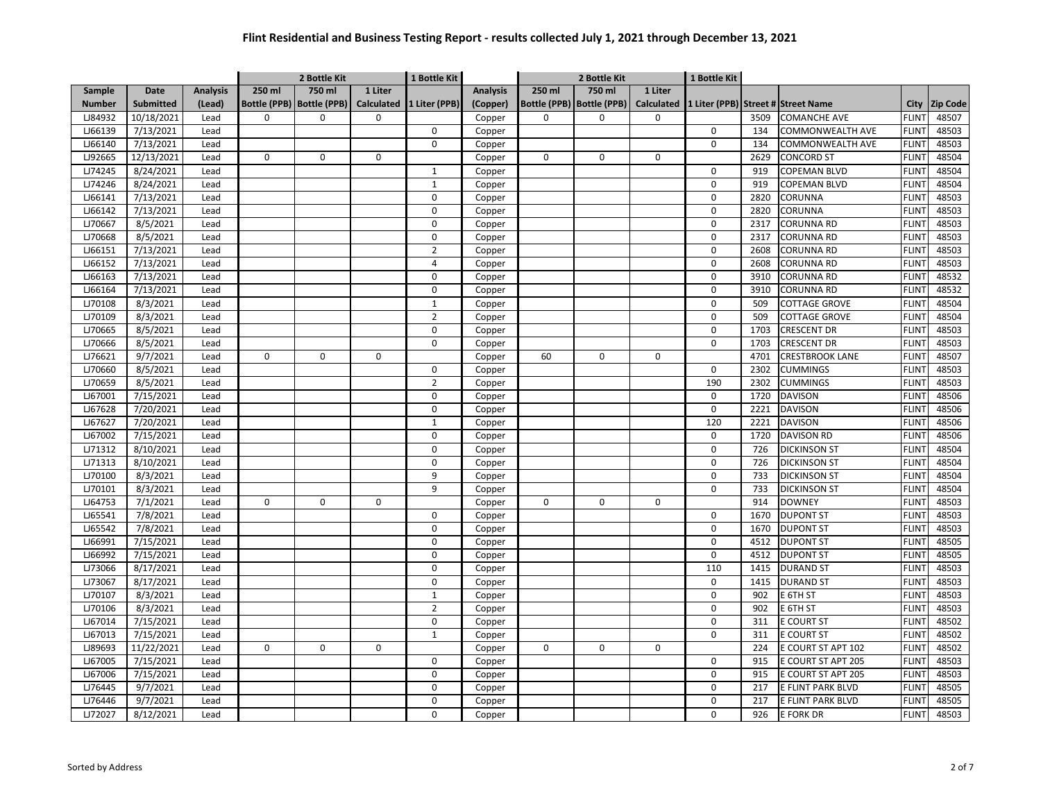|               |                  |                 | 2 Bottle Kit |                             |             | 1 Bottle Kit             |                 |             | 2 Bottle Kit                |                   | 1 Bottle Kit |      |                                    |              |                 |
|---------------|------------------|-----------------|--------------|-----------------------------|-------------|--------------------------|-----------------|-------------|-----------------------------|-------------------|--------------|------|------------------------------------|--------------|-----------------|
| Sample        | Date             | <b>Analysis</b> | 250 ml       | 750 ml                      | 1 Liter     |                          | <b>Analysis</b> | 250 ml      | 750 ml                      | 1 Liter           |              |      |                                    |              |                 |
| <b>Number</b> | <b>Submitted</b> | (Lead)          |              | Bottle (PPB)   Bottle (PPB) |             | Calculated 1 Liter (PPB) | (Copper)        |             | Bottle (PPB)   Bottle (PPB) | <b>Calculated</b> |              |      | 1 Liter (PPB) Street # Street Name | City         | <b>Zip Code</b> |
| LJ84932       | 10/18/2021       | Lead            | 0            | $\Omega$                    | $\Omega$    |                          | Copper          | $\Omega$    | 0                           | $\Omega$          |              | 3509 | <b>COMANCHE AVE</b>                | <b>FLINT</b> | 48507           |
| LJ66139       | 7/13/2021        | Lead            |              |                             |             | 0                        | Copper          |             |                             |                   | $\mathsf 0$  | 134  | COMMONWEALTH AVE                   | <b>FLINT</b> | 48503           |
| LJ66140       | 7/13/2021        | Lead            |              |                             |             | 0                        | Copper          |             |                             |                   | 0            | 134  | COMMONWEALTH AVE                   | <b>FLINT</b> | 48503           |
| LJ92665       | 12/13/2021       | Lead            | 0            | 0                           | $\mathbf 0$ |                          | Copper          | $\mathbf 0$ | 0                           | 0                 |              | 2629 | <b>CONCORD ST</b>                  | <b>FLINT</b> | 48504           |
| LJ74245       | 8/24/2021        | Lead            |              |                             |             | $\mathbf{1}$             | Copper          |             |                             |                   | 0            | 919  | COPEMAN BLVD                       | <b>FLINT</b> | 48504           |
| LJ74246       | 8/24/2021        | Lead            |              |                             |             | $\mathbf{1}$             | Copper          |             |                             |                   | 0            | 919  | COPEMAN BLVD                       | <b>FLINT</b> | 48504           |
| LJ66141       | 7/13/2021        | Lead            |              |                             |             | 0                        | Copper          |             |                             |                   | 0            | 2820 | CORUNNA                            | <b>FLINT</b> | 48503           |
| LJ66142       | 7/13/2021        | Lead            |              |                             |             | 0                        | Copper          |             |                             |                   | $\mathsf 0$  | 2820 | CORUNNA                            | <b>FLINT</b> | 48503           |
| LJ70667       | 8/5/2021         | Lead            |              |                             |             | $\pmb{0}$                | Copper          |             |                             |                   | 0            | 2317 | <b>CORUNNA RD</b>                  | <b>FLINT</b> | 48503           |
| LJ70668       | 8/5/2021         | Lead            |              |                             |             | $\pmb{0}$                | Copper          |             |                             |                   | $\mathsf 0$  | 2317 | CORUNNA RD                         | <b>FLINT</b> | 48503           |
| LJ66151       | 7/13/2021        | Lead            |              |                             |             | $\overline{2}$           | Copper          |             |                             |                   | 0            | 2608 | CORUNNA RD                         | <b>FLINT</b> | 48503           |
| LJ66152       | 7/13/2021        | Lead            |              |                             |             | $\overline{4}$           | Copper          |             |                             |                   | 0            | 2608 | CORUNNA RD                         | <b>FLINT</b> | 48503           |
| LJ66163       | 7/13/2021        | Lead            |              |                             |             | 0                        | Copper          |             |                             |                   | 0            | 3910 | CORUNNA RD                         | <b>FLINT</b> | 48532           |
| LJ66164       | 7/13/2021        | Lead            |              |                             |             | 0                        | Copper          |             |                             |                   | $\mathsf 0$  | 3910 | CORUNNA RD                         | <b>FLINT</b> | 48532           |
| LJ70108       | 8/3/2021         | Lead            |              |                             |             | $\mathbf{1}$             | Copper          |             |                             |                   | 0            | 509  | <b>COTTAGE GROVE</b>               | <b>FLINT</b> | 48504           |
| LJ70109       | 8/3/2021         | Lead            |              |                             |             | $\overline{2}$           | Copper          |             |                             |                   | 0            | 509  | <b>COTTAGE GROVE</b>               | <b>FLINT</b> | 48504           |
| LJ70665       | 8/5/2021         | Lead            |              |                             |             | $\mathbf 0$              | Copper          |             |                             |                   | $\mathbf 0$  | 1703 | <b>CRESCENT DR</b>                 | <b>FLINT</b> | 48503           |
| LJ70666       | 8/5/2021         | Lead            |              |                             |             | 0                        | Copper          |             |                             |                   | 0            | 1703 | <b>CRESCENT DR</b>                 | <b>FLINT</b> | 48503           |
| LJ76621       | 9/7/2021         | Lead            | 0            | 0                           | $\mathbf 0$ |                          | Copper          | 60          | 0                           | 0                 |              | 4701 | <b>CRESTBROOK LANE</b>             | <b>FLINT</b> | 48507           |
| LJ70660       | 8/5/2021         | Lead            |              |                             |             | $\pmb{0}$                | Copper          |             |                             |                   | 0            | 2302 | <b>CUMMINGS</b>                    | <b>FLINT</b> | 48503           |
| LJ70659       | 8/5/2021         | Lead            |              |                             |             | $\overline{2}$           | Copper          |             |                             |                   | 190          | 2302 | <b>CUMMINGS</b>                    | <b>FLINT</b> | 48503           |
| LJ67001       | 7/15/2021        | Lead            |              |                             |             | 0                        | Copper          |             |                             |                   | $\mathbf 0$  | 1720 | <b>DAVISON</b>                     | <b>FLIN</b>  | 48506           |
| LJ67628       | 7/20/2021        | Lead            |              |                             |             | 0                        | Copper          |             |                             |                   | 0            | 2221 | <b>DAVISON</b>                     | <b>FLINT</b> | 48506           |
| LJ67627       | 7/20/2021        | Lead            |              |                             |             | $\mathbf 1$              | Copper          |             |                             |                   | 120          | 2221 | <b>DAVISON</b>                     | <b>FLINT</b> | 48506           |
| LJ67002       | 7/15/2021        | Lead            |              |                             |             | 0                        | Copper          |             |                             |                   | $\mathbf 0$  | 1720 | <b>DAVISON RD</b>                  | <b>FLINT</b> | 48506           |
| LJ71312       | 8/10/2021        | Lead            |              |                             |             | 0                        | Copper          |             |                             |                   | 0            | 726  | <b>DICKINSON ST</b>                | <b>FLINT</b> | 48504           |
| LJ71313       | 8/10/2021        | Lead            |              |                             |             | 0                        | Copper          |             |                             |                   | 0            | 726  | <b>DICKINSON ST</b>                | <b>FLINT</b> | 48504           |
| LJ70100       | 8/3/2021         | Lead            |              |                             |             | 9                        | Copper          |             |                             |                   | 0            | 733  | <b>DICKINSON ST</b>                | <b>FLINT</b> | 48504           |
| LJ70101       | 8/3/2021         | Lead            |              |                             |             | 9                        | Copper          |             |                             |                   | 0            | 733  | <b>DICKINSON ST</b>                | <b>FLINT</b> | 48504           |
| LJ64753       | 7/1/2021         | Lead            | 0            | 0                           | $\mathbf 0$ |                          | Copper          | $\mathbf 0$ | 0                           | 0                 |              | 914  | <b>DOWNEY</b>                      | <b>FLINT</b> | 48503           |
| LJ65541       | 7/8/2021         | Lead            |              |                             |             | 0                        | Copper          |             |                             |                   | 0            | 1670 | <b>DUPONT ST</b>                   | <b>FLINT</b> | 48503           |
| LJ65542       | 7/8/2021         | Lead            |              |                             |             | 0                        | Copper          |             |                             |                   | 0            | 1670 | <b>DUPONT ST</b>                   | <b>FLINT</b> | 48503           |
| LJ66991       | 7/15/2021        | Lead            |              |                             |             | 0                        | Copper          |             |                             |                   | 0            | 4512 | <b>DUPONT ST</b>                   | <b>FLINT</b> | 48505           |
| LJ66992       | 7/15/2021        | Lead            |              |                             |             | $\pmb{0}$                | Copper          |             |                             |                   | $\mathsf 0$  | 4512 | <b>DUPONT ST</b>                   | <b>FLINT</b> | 48505           |
| LJ73066       | 8/17/2021        | Lead            |              |                             |             | 0                        | Copper          |             |                             |                   | 110          | 1415 | <b>DURAND ST</b>                   | <b>FLINT</b> | 48503           |
| LJ73067       | 8/17/2021        | Lead            |              |                             |             | 0                        | Copper          |             |                             |                   | 0            | 1415 | <b>DURAND ST</b>                   | <b>FLINT</b> | 48503           |
| LJ70107       | 8/3/2021         | Lead            |              |                             |             | $\mathbf{1}$             | Copper          |             |                             |                   | 0            | 902  | E 6TH ST                           | <b>FLINT</b> | 48503           |
| LJ70106       | 8/3/2021         | Lead            |              |                             |             | $\overline{2}$           | Copper          |             |                             |                   | 0            | 902  | E 6TH ST                           | <b>FLINT</b> | 48503           |
| LJ67014       | 7/15/2021        | Lead            |              |                             |             | 0                        | Copper          |             |                             |                   | 0            | 311  | <b>E COURT ST</b>                  | <b>FLINT</b> | 48502           |
| LJ67013       | 7/15/2021        | Lead            |              |                             |             | $1\,$                    | Copper          |             |                             |                   | $\mathbf 0$  | 311  | <b>E COURT ST</b>                  | <b>FLINT</b> | 48502           |
| LJ89693       | 11/22/2021       | Lead            | $\mathbf 0$  | 0                           | $\mathbf 0$ |                          | Copper          | $\mathbf 0$ | $\mathbf 0$                 | 0                 |              | 224  | E COURT ST APT 102                 | <b>FLINT</b> | 48502           |
| LJ67005       | 7/15/2021        | Lead            |              |                             |             | $\pmb{0}$                | Copper          |             |                             |                   | 0            | 915  | E COURT ST APT 205                 | <b>FLIN</b>  | 48503           |
| LJ67006       | 7/15/2021        | Lead            |              |                             |             | 0                        | Copper          |             |                             |                   | 0            | 915  | E COURT ST APT 205                 | <b>FLINT</b> | 48503           |
| LJ76445       | 9/7/2021         | Lead            |              |                             |             | 0                        | Copper          |             |                             |                   | $\mathbf 0$  | 217  | E FLINT PARK BLVD                  | <b>FLIN</b>  | 48505           |
| LJ76446       | 9/7/2021         | Lead            |              |                             |             | 0                        | Copper          |             |                             |                   | 0            | 217  | E FLINT PARK BLVD                  | <b>FLINT</b> | 48505           |
| LJ72027       | 8/12/2021        | Lead            |              |                             |             | 0                        | Copper          |             |                             |                   | 0            | 926  | E FORK DR                          | <b>FLINT</b> | 48503           |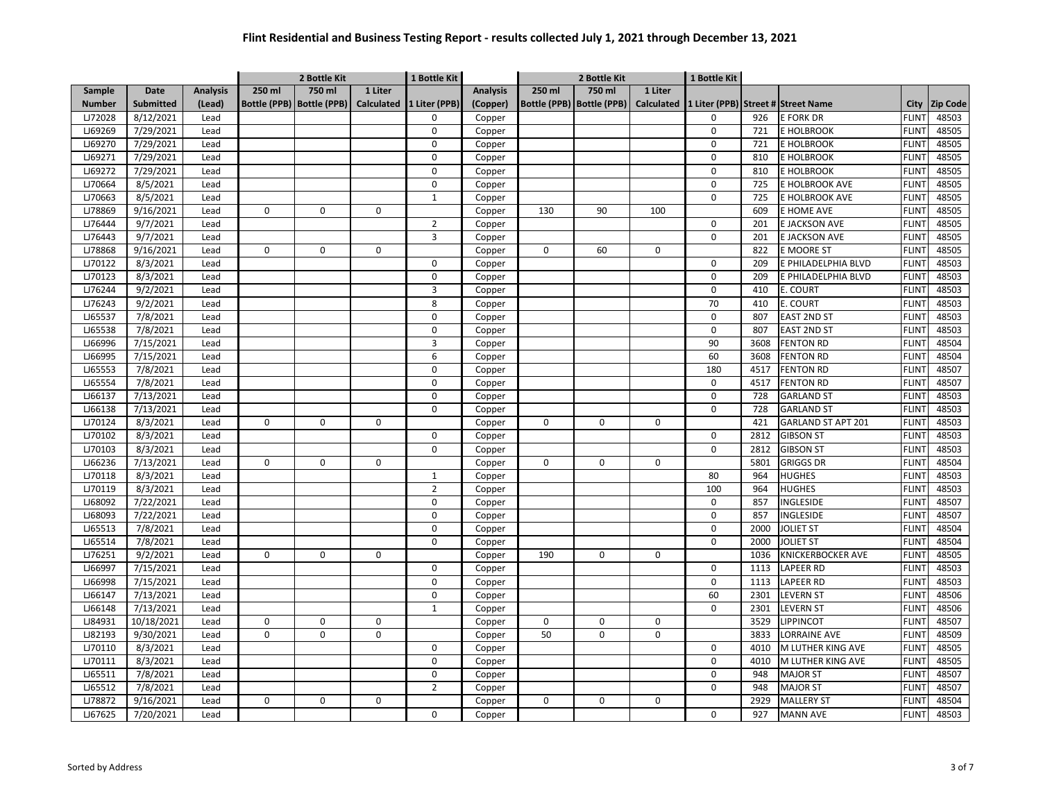|               |                  |                 | 2 Bottle Kit |                           |             | 1 Bottle Kit             |                 | 2 Bottle Kit |                             |                   | 1 Bottle Kit |      |                                    |              |                 |
|---------------|------------------|-----------------|--------------|---------------------------|-------------|--------------------------|-----------------|--------------|-----------------------------|-------------------|--------------|------|------------------------------------|--------------|-----------------|
| Sample        | Date             | <b>Analysis</b> | 250 ml       | 750 ml                    | 1 Liter     |                          | <b>Analysis</b> | 250 ml       | 750 ml                      | 1 Liter           |              |      |                                    |              |                 |
| <b>Number</b> | <b>Submitted</b> | (Lead)          |              | Bottle (PPB) Bottle (PPB) |             | Calculated 1 Liter (PPB) | (Copper)        |              | Bottle (PPB)   Bottle (PPB) | <b>Calculated</b> |              |      | 1 Liter (PPB) Street # Street Name | City         | <b>Zip Code</b> |
| LJ72028       | 8/12/2021        | Lead            |              |                           |             | $\Omega$                 | Copper          |              |                             |                   | 0            | 926  | <b>E FORK DR</b>                   | <b>FLINT</b> | 48503           |
| LJ69269       | 7/29/2021        | Lead            |              |                           |             | 0                        | Copper          |              |                             |                   | 0            | 721  | E HOLBROOK                         | <b>FLINT</b> | 48505           |
| LJ69270       | 7/29/2021        | Lead            |              |                           |             | 0                        | Copper          |              |                             |                   | 0            | 721  | E HOLBROOK                         | <b>FLINT</b> | 48505           |
| LJ69271       | 7/29/2021        | Lead            |              |                           |             | 0                        | Copper          |              |                             |                   | $\mathbf 0$  | 810  | E HOLBROOK                         | <b>FLIN</b>  | 48505           |
| LJ69272       | 7/29/2021        | Lead            |              |                           |             | 0                        | Copper          |              |                             |                   | 0            | 810  | E HOLBROOK                         | <b>FLINT</b> | 48505           |
| LJ70664       | 8/5/2021         | Lead            |              |                           |             | 0                        | Copper          |              |                             |                   | 0            | 725  | E HOLBROOK AVE                     | <b>FLINT</b> | 48505           |
| LJ70663       | 8/5/2021         | Lead            |              |                           |             | $\mathbf{1}$             | Copper          |              |                             |                   | 0            | 725  | E HOLBROOK AVE                     | <b>FLINT</b> | 48505           |
| LJ78869       | 9/16/2021        | Lead            | 0            | 0                         | $\mathbf 0$ |                          | Copper          | 130          | 90                          | 100               |              | 609  | E HOME AVE                         | <b>FLINT</b> | 48505           |
| LJ76444       | 9/7/2021         | Lead            |              |                           |             | $\overline{2}$           | Copper          |              |                             |                   | $\mathsf 0$  | 201  | E JACKSON AVE                      | <b>FLINT</b> | 48505           |
| LJ76443       | 9/7/2021         | Lead            |              |                           |             | 3                        | Copper          |              |                             |                   | 0            | 201  | E JACKSON AVE                      | <b>FLINT</b> | 48505           |
| LJ78868       | 9/16/2021        | Lead            | $\mathbf 0$  | 0                         | $\mathbf 0$ |                          | Copper          | $\mathbf 0$  | 60                          | 0                 |              | 822  | E MOORE ST                         | <b>FLINT</b> | 48505           |
| LJ70122       | 8/3/2021         | Lead            |              |                           |             | 0                        | Copper          |              |                             |                   | 0            | 209  | E PHILADELPHIA BLVD                | <b>FLINT</b> | 48503           |
| LJ70123       | 8/3/2021         | Lead            |              |                           |             | $\mathbf 0$              | Copper          |              |                             |                   | 0            | 209  | E PHILADELPHIA BLVD                | <b>FLINT</b> | 48503           |
| LJ76244       | 9/2/2021         | Lead            |              |                           |             | 3                        | Copper          |              |                             |                   | 0            | 410  | E. COURT                           | <b>FLINT</b> | 48503           |
| LJ76243       | 9/2/2021         | Lead            |              |                           |             | 8                        | Copper          |              |                             |                   | 70           | 410  | E. COURT                           | <b>FLINT</b> | 48503           |
| LJ65537       | 7/8/2021         | Lead            |              |                           |             | 0                        | Copper          |              |                             |                   | $\mathbf 0$  | 807  | <b>EAST 2ND ST</b>                 | <b>FLINT</b> | 48503           |
| LJ65538       | 7/8/2021         | Lead            |              |                           |             | 0                        | Copper          |              |                             |                   | $\mathbf 0$  | 807  | <b>EAST 2ND ST</b>                 | <b>FLINT</b> | 48503           |
| LJ66996       | 7/15/2021        | Lead            |              |                           |             | 3                        | Copper          |              |                             |                   | 90           | 3608 | <b>FENTON RD</b>                   | <b>FLINT</b> | 48504           |
| LJ66995       | 7/15/2021        | Lead            |              |                           |             | 6                        | Copper          |              |                             |                   | 60           | 3608 | <b>FENTON RD</b>                   | <b>FLINT</b> | 48504           |
| LJ65553       | 7/8/2021         | Lead            |              |                           |             | 0                        | Copper          |              |                             |                   | 180          | 4517 | <b>FENTON RD</b>                   | <b>FLINT</b> | 48507           |
| LJ65554       | 7/8/2021         | Lead            |              |                           |             | 0                        | Copper          |              |                             |                   | $\mathbf 0$  | 4517 | <b>FENTON RD</b>                   | <b>FLINT</b> | 48507           |
| LJ66137       | 7/13/2021        | Lead            |              |                           |             | 0                        | Copper          |              |                             |                   | 0            | 728  | <b>GARLAND ST</b>                  | <b>FLINT</b> | 48503           |
| LJ66138       | 7/13/2021        | Lead            |              |                           |             | 0                        | Copper          |              |                             |                   | 0            | 728  | <b>GARLAND ST</b>                  | <b>FLIN</b>  | 48503           |
| LJ70124       | 8/3/2021         | Lead            | 0            | $\Omega$                  | $\mathbf 0$ |                          | Copper          | $\Omega$     | $\mathbf 0$                 | 0                 |              | 421  | GARLAND ST APT 201                 | <b>FLIN</b>  | 48503           |
| LJ70102       | 8/3/2021         | Lead            |              |                           |             | $\mathbf 0$              | Copper          |              |                             |                   | $\mathbf 0$  | 2812 | <b>GIBSON ST</b>                   | <b>FLINT</b> | 48503           |
| LJ70103       | 8/3/2021         | Lead            |              |                           |             | 0                        | Copper          |              |                             |                   | 0            | 2812 | <b>GIBSON ST</b>                   | <b>FLIN</b>  | 48503           |
| LJ66236       | 7/13/2021        | Lead            | $\Omega$     | 0                         | $\Omega$    |                          | Copper          | $\mathbf 0$  | $\mathbf 0$                 | $\Omega$          |              | 5801 | <b>GRIGGS DR</b>                   | <b>FLINT</b> | 48504           |
| LJ70118       | 8/3/2021         | Lead            |              |                           |             | $\mathbf{1}$             | Copper          |              |                             |                   | 80           | 964  | HUGHES                             | <b>FLIN</b>  | 48503           |
| LJ70119       | 8/3/2021         | Lead            |              |                           |             | $\overline{2}$           | Copper          |              |                             |                   | 100          | 964  | <b>HUGHES</b>                      | <b>FLINT</b> | 48503           |
| LJ68092       | 7/22/2021        | Lead            |              |                           |             | 0                        | Copper          |              |                             |                   | 0            | 857  | INGLESIDE                          | <b>FLINT</b> | 48507           |
| LJ68093       | 7/22/2021        | Lead            |              |                           |             | 0                        | Copper          |              |                             |                   | 0            | 857  | INGLESIDE                          | <b>FLINT</b> | 48507           |
| LJ65513       | 7/8/2021         | Lead            |              |                           |             | $\pmb{0}$                | Copper          |              |                             |                   | 0            | 2000 | <b>JOLIET ST</b>                   | <b>FLINT</b> | 48504           |
| LJ65514       | 7/8/2021         | Lead            |              |                           |             | 0                        | Copper          |              |                             |                   | $\Omega$     | 2000 | <b>JOLIET ST</b>                   | <b>FLINT</b> | 48504           |
| LJ76251       | 9/2/2021         | Lead            | $\mathbf 0$  | 0                         | $\mathbf 0$ |                          | Copper          | 190          | $\mathbf 0$                 | 0                 |              | 1036 | <b>KNICKERBOCKER AVE</b>           | <b>FLINT</b> | 48505           |
| LJ66997       | 7/15/2021        | Lead            |              |                           |             | 0                        | Copper          |              |                             |                   | 0            | 1113 | LAPEER RD                          | <b>FLINT</b> | 48503           |
| LJ66998       | 7/15/2021        | Lead            |              |                           |             | $\mathbf 0$              | Copper          |              |                             |                   | $\mathbf 0$  | 1113 | LAPEER RD                          | <b>FLINT</b> | 48503           |
| LJ66147       | 7/13/2021        | Lead            |              |                           |             | 0                        | Copper          |              |                             |                   | 60           | 2301 | LEVERN ST                          | <b>FLINT</b> | 48506           |
| LJ66148       | 7/13/2021        | Lead            |              |                           |             | $\mathbf{1}$             | Copper          |              |                             |                   | 0            | 2301 | <b>EVERN ST</b>                    | <b>FLINT</b> | 48506           |
| LJ84931       | 10/18/2021       | Lead            | 0            | 0                         | 0           |                          | Copper          | 0            | $\mathbf 0$                 | 0                 |              | 3529 | <b>LIPPINCOT</b>                   | <b>FLINT</b> | 48507           |
| LJ82193       | 9/30/2021        | Lead            | $\mathbf 0$  | 0                         | 0           |                          | Copper          | 50           | $\mathbf 0$                 | $\Omega$          |              | 3833 | LORRAINE AVE                       | <b>FLINT</b> | 48509           |
| LJ70110       | 8/3/2021         | Lead            |              |                           |             | 0                        | Copper          |              |                             |                   | 0            | 4010 | M LUTHER KING AVE                  | <b>FLINT</b> | 48505           |
| LJ70111       | 8/3/2021         | Lead            |              |                           |             | $\mathbf 0$              | Copper          |              |                             |                   | 0            | 4010 | M LUTHER KING AVE                  | <b>FLINT</b> | 48505           |
| LJ65511       | 7/8/2021         | Lead            |              |                           |             | 0                        | Copper          |              |                             |                   | 0            | 948  | <b>MAJOR ST</b>                    | <b>FLINT</b> | 48507           |
| LJ65512       | 7/8/2021         | Lead            |              |                           |             | $\overline{2}$           | Copper          |              |                             |                   | $\Omega$     | 948  | <b>MAJOR ST</b>                    | <b>FLINT</b> | 48507           |
| LJ78872       | 9/16/2021        | Lead            | $\pmb{0}$    | $\Omega$                  | $\mathbf 0$ |                          | Copper          | $\mathbf 0$  | $\mathbf 0$                 | 0                 |              | 2929 | <b>MALLERY ST</b>                  | <b>FLINT</b> | 48504           |
| LJ67625       | 7/20/2021        | Lead            |              |                           |             | $\mathbf 0$              | Copper          |              |                             |                   | $\Omega$     | 927  | <b>MANN AVE</b>                    | <b>FLINT</b> | 48503           |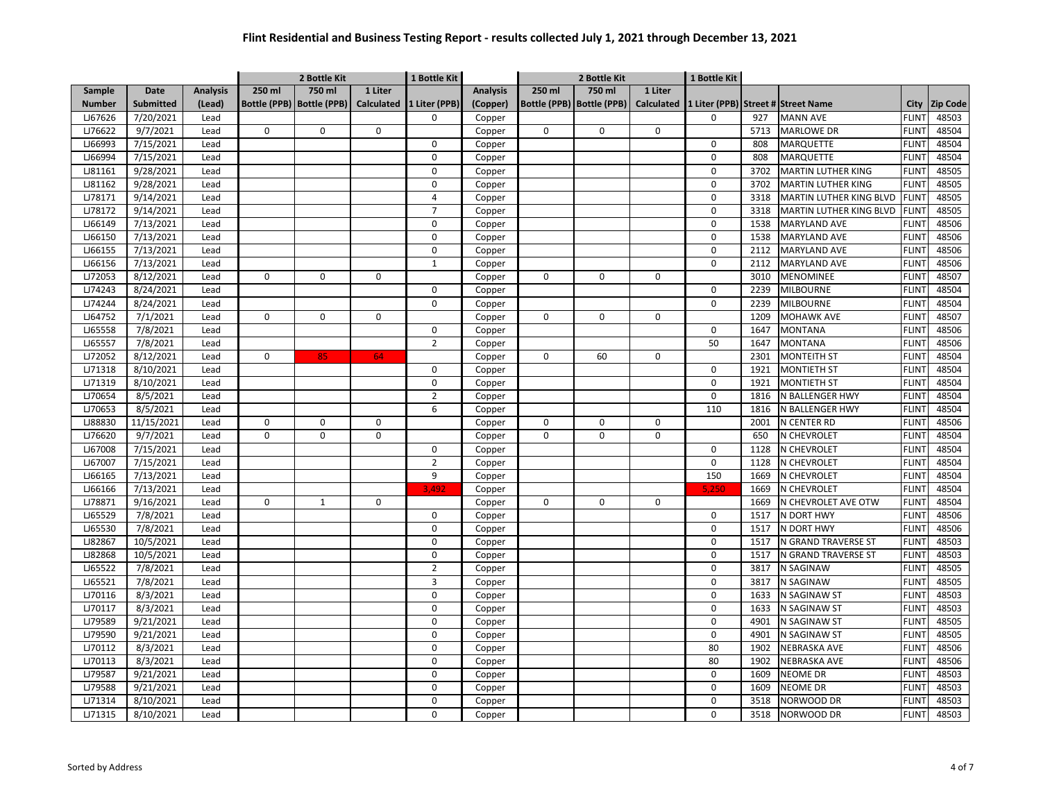|               |                  |                 |             | 2 Bottle Kit                |             | 1 Bottle Kit             |                 |             | 2 Bottle Kit                |             | 1 Bottle Kit |      |                                    |              |                 |
|---------------|------------------|-----------------|-------------|-----------------------------|-------------|--------------------------|-----------------|-------------|-----------------------------|-------------|--------------|------|------------------------------------|--------------|-----------------|
| Sample        | Date             | <b>Analysis</b> | 250 ml      | 750 ml                      | 1 Liter     |                          | <b>Analysis</b> | 250 ml      | 750 ml                      | 1 Liter     |              |      |                                    |              |                 |
| <b>Number</b> | <b>Submitted</b> | (Lead)          |             | Bottle (PPB)   Bottle (PPB) |             | Calculated 1 Liter (PPB) | (Copper)        |             | Bottle (PPB)   Bottle (PPB) | Calculated  |              |      | 1 Liter (PPB) Street # Street Name | City         | <b>Zip Code</b> |
| LJ67626       | 7/20/2021        | Lead            |             |                             |             | 0                        | Copper          |             |                             |             | 0            | 927  | <b>MANN AVE</b>                    | <b>FLINT</b> | 48503           |
| LJ76622       | 9/7/2021         | Lead            | 0           | 0                           | $\mathbf 0$ |                          | Copper          | $\pmb{0}$   | $\mathsf 0$                 | 0           |              | 5713 | <b>MARLOWE DR</b>                  | <b>FLINT</b> | 48504           |
| LJ66993       | 7/15/2021        | Lead            |             |                             |             | 0                        | Copper          |             |                             |             | 0            | 808  | MARQUETTE                          | <b>FLINT</b> | 48504           |
| LJ66994       | 7/15/2021        | Lead            |             |                             |             | 0                        | Copper          |             |                             |             | 0            | 808  | MARQUETTE                          | <b>FLINT</b> | 48504           |
| LJ81161       | 9/28/2021        | Lead            |             |                             |             | 0                        | Copper          |             |                             |             | 0            | 3702 | <b>MARTIN LUTHER KING</b>          | <b>FLINT</b> | 48505           |
| LJ81162       | 9/28/2021        | Lead            |             |                             |             | 0                        | Copper          |             |                             |             | 0            | 3702 | MARTIN LUTHER KING                 | <b>FLINT</b> | 48505           |
| LJ78171       | 9/14/2021        | Lead            |             |                             |             | 4                        | Copper          |             |                             |             | 0            | 3318 | MARTIN LUTHER KING BLVD            | <b>FLINT</b> | 48505           |
| LJ78172       | 9/14/2021        | Lead            |             |                             |             | $\overline{7}$           | Copper          |             |                             |             | $\mathsf 0$  | 3318 | MARTIN LUTHER KING BLVD            | <b>FLINT</b> | 48505           |
| LJ66149       | 7/13/2021        | Lead            |             |                             |             | 0                        | Copper          |             |                             |             | $\mathbf 0$  | 1538 | <b>MARYLAND AVE</b>                | <b>FLINT</b> | 48506           |
| LJ66150       | 7/13/2021        | Lead            |             |                             |             | $\pmb{0}$                | Copper          |             |                             |             | $\mathsf 0$  | 1538 | <b>MARYLAND AVE</b>                | <b>FLINT</b> | 48506           |
| LJ66155       | 7/13/2021        | Lead            |             |                             |             | 0                        | Copper          |             |                             |             | 0            | 2112 | <b>MARYLAND AVE</b>                | <b>FLINT</b> | 48506           |
| LJ66156       | 7/13/2021        | Lead            |             |                             |             | $\mathbf 1$              | Copper          |             |                             |             | 0            | 2112 | MARYLAND AVE                       | <b>FLINT</b> | 48506           |
| LJ72053       | 8/12/2021        | Lead            | 0           | 0                           | $\mathbf 0$ |                          | Copper          | $\mathbf 0$ | $\mathbf 0$                 | 0           |              | 3010 | MENOMINEE                          | <b>FLINT</b> | 48507           |
| LJ74243       | 8/24/2021        | Lead            |             |                             |             | 0                        | Copper          |             |                             |             | $\mathbf 0$  | 2239 | <b>MILBOURNE</b>                   | <b>FLINT</b> | 48504           |
| LJ74244       | 8/24/2021        | Lead            |             |                             |             | 0                        | Copper          |             |                             |             | $\mathbf 0$  | 2239 | <b>MILBOURNE</b>                   | <b>FLINT</b> | 48504           |
| LJ64752       | 7/1/2021         | Lead            | 0           | 0                           | 0           |                          | Copper          | $\Omega$    | 0                           | 0           |              | 1209 | <b>MOHAWK AVE</b>                  | <b>FLINT</b> | 48507           |
| LJ65558       | 7/8/2021         | Lead            |             |                             |             | 0                        | Copper          |             |                             |             | $\mathbf 0$  | 1647 | <b>MONTANA</b>                     | <b>FLINT</b> | 48506           |
| LJ65557       | 7/8/2021         | Lead            |             |                             |             | $\overline{2}$           | Copper          |             |                             |             | 50           | 1647 | <b>MONTANA</b>                     | <b>FLINT</b> | 48506           |
| LJ72052       | 8/12/2021        | Lead            | $\mathbf 0$ | 85                          | 64          |                          | Copper          | $\mathbf 0$ | 60                          | 0           |              | 2301 | <b>MONTEITH ST</b>                 | <b>FLINT</b> | 48504           |
| LJ71318       | 8/10/2021        | Lead            |             |                             |             | $\pmb{0}$                | Copper          |             |                             |             | 0            | 1921 | <b>MONTIETH ST</b>                 | <b>FLINT</b> | 48504           |
| LJ71319       | 8/10/2021        | Lead            |             |                             |             | $\mathbf 0$              | Copper          |             |                             |             | 0            | 1921 | <b>MONTIETH ST</b>                 | <b>FLINT</b> | 48504           |
| LJ70654       | 8/5/2021         | Lead            |             |                             |             | $\overline{2}$           | Copper          |             |                             |             | $\mathbf 0$  | 1816 | N BALLENGER HWY                    | <b>FLIN</b>  | 48504           |
| LJ70653       | 8/5/2021         | Lead            |             |                             |             | 6                        | Copper          |             |                             |             | 110          | 1816 | N BALLENGER HWY                    | <b>FLIN</b>  | 48504           |
| LJ88830       | 11/15/2021       | Lead            | 0           | 0                           | 0           |                          | Copper          | 0           | 0                           | 0           |              | 2001 | N CENTER RD                        | <b>FLINT</b> | 48506           |
| LJ76620       | 9/7/2021         | Lead            | 0           | $\overline{0}$              | $\mathbf 0$ |                          | Copper          | $\mathbf 0$ | $\mathbf 0$                 | 0           |              | 650  | N CHEVROLET                        | <b>FLINT</b> | 48504           |
| LJ67008       | 7/15/2021        | Lead            |             |                             |             | 0                        | Copper          |             |                             |             | 0            | 1128 | N CHEVROLET                        | <b>FLINT</b> | 48504           |
| LJ67007       | 7/15/2021        | Lead            |             |                             |             | $\overline{2}$           | Copper          |             |                             |             | $\pmb{0}$    | 1128 | N CHEVROLET                        | <b>FLINT</b> | 48504           |
| LJ66165       | 7/13/2021        | Lead            |             |                             |             | 9                        | Copper          |             |                             |             | 150          | 1669 | N CHEVROLET                        | <b>FLINT</b> | 48504           |
| LJ66166       | 7/13/2021        | Lead            |             |                             |             | 3.492                    | Copper          |             |                             |             | 5.250        | 1669 | N CHEVROLET                        | <b>FLINT</b> | 48504           |
| LJ78871       | 9/16/2021        | Lead            | 0           | $\mathbf{1}$                | $\mathbf 0$ |                          | Copper          | $\mathbf 0$ | 0                           | $\mathbf 0$ |              | 1669 | N CHEVROLET AVE OTW                | <b>FLINT</b> | 48504           |
| LJ65529       | 7/8/2021         | Lead            |             |                             |             | 0                        | Copper          |             |                             |             | $\mathbf 0$  | 1517 | N DORT HWY                         | <b>FLINT</b> | 48506           |
| LJ65530       | 7/8/2021         | Lead            |             |                             |             | 0                        | Copper          |             |                             |             | 0            | 1517 | N DORT HWY                         | <b>FLINT</b> | 48506           |
| LJ82867       | 10/5/2021        | Lead            |             |                             |             | 0                        | Copper          |             |                             |             | 0            | 1517 | N GRAND TRAVERSE ST                | <b>FLINT</b> | 48503           |
| LJ82868       | 10/5/2021        | Lead            |             |                             |             | 0                        | Copper          |             |                             |             | $\mathsf 0$  | 1517 | N GRAND TRAVERSE ST                | <b>FLINT</b> | 48503           |
| LJ65522       | 7/8/2021         | Lead            |             |                             |             | $\overline{2}$           | Copper          |             |                             |             | 0            | 3817 | N SAGINAW                          | <b>FLINT</b> | 48505           |
| LJ65521       | 7/8/2021         | Lead            |             |                             |             | 3                        | Copper          |             |                             |             | 0            | 3817 | N SAGINAW                          | <b>FLINT</b> | 48505           |
| LJ70116       | 8/3/2021         | Lead            |             |                             |             | 0                        | Copper          |             |                             |             | 0            | 1633 | N SAGINAW ST                       | <b>FLINT</b> | 48503           |
| LJ70117       | 8/3/2021         | Lead            |             |                             |             | 0                        | Copper          |             |                             |             | $\mathsf 0$  | 1633 | N SAGINAW ST                       | <b>FLINT</b> | 48503           |
| LJ79589       | 9/21/2021        | Lead            |             |                             |             | 0                        | Copper          |             |                             |             | 0            | 4901 | N SAGINAW ST                       | <b>FLINT</b> | 48505           |
| LJ79590       | 9/21/2021        | Lead            |             |                             |             | $\mathbf 0$              | Copper          |             |                             |             | $\mathbf 0$  | 4901 | N SAGINAW ST                       | <b>FLINT</b> | 48505           |
| LJ70112       | 8/3/2021         | Lead            |             |                             |             | 0                        | Copper          |             |                             |             | 80           | 1902 | NEBRASKA AVE                       | <b>FLINT</b> | 48506           |
| LJ70113       | 8/3/2021         | Lead            |             |                             |             | 0                        | Copper          |             |                             |             | 80           | 1902 | NEBRASKA AVE                       | <b>FLIN</b>  | 48506           |
| LJ79587       | 9/21/2021        | Lead            |             |                             |             | 0                        | Copper          |             |                             |             | 0            | 1609 | <b>NEOME DR</b>                    | <b>FLIN</b>  | 48503           |
| LJ79588       | 9/21/2021        | Lead            |             |                             |             | 0                        | Copper          |             |                             |             | $\mathbf 0$  | 1609 | NEOME DR                           | <b>FLIN</b>  | 48503           |
| LJ71314       | 8/10/2021        | Lead            |             |                             |             | 0                        | Copper          |             |                             |             | 0            | 3518 | NORWOOD DR                         | <b>FLINT</b> | 48503           |
| LJ71315       | 8/10/2021        | Lead            |             |                             |             | 0                        | Copper          |             |                             |             | 0            | 3518 | NORWOOD DR                         | <b>FLINT</b> | 48503           |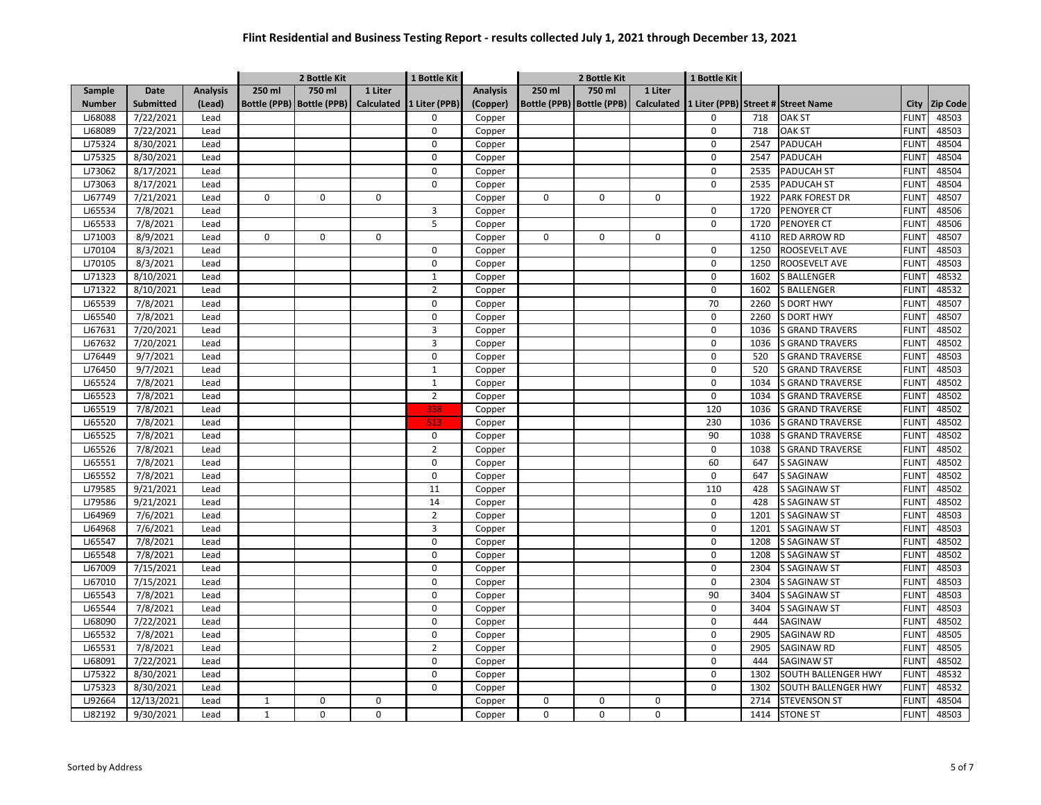|               |                  |                 |             | 2 Bottle Kit                |             | 1 Bottle Kit             |                 |             | 2 Bottle Kit                |                   | 1 Bottle Kit |      |                                    |              |                 |
|---------------|------------------|-----------------|-------------|-----------------------------|-------------|--------------------------|-----------------|-------------|-----------------------------|-------------------|--------------|------|------------------------------------|--------------|-----------------|
| Sample        | Date             | <b>Analysis</b> | 250 ml      | 750 ml                      | 1 Liter     |                          | <b>Analysis</b> | 250 ml      | 750 ml                      | 1 Liter           |              |      |                                    |              |                 |
| <b>Number</b> | <b>Submitted</b> | (Lead)          |             | Bottle (PPB)   Bottle (PPB) |             | Calculated 1 Liter (PPB) | (Copper)        |             | Bottle (PPB)   Bottle (PPB) | <b>Calculated</b> |              |      | 1 Liter (PPB) Street # Street Name | City         | <b>Zip Code</b> |
| LJ68088       | 7/22/2021        | Lead            |             |                             |             | $\Omega$                 | Copper          |             |                             |                   | 0            | 718  | <b>OAK ST</b>                      | <b>FLINT</b> | 48503           |
| LJ68089       | 7/22/2021        | Lead            |             |                             |             | 0                        | Copper          |             |                             |                   | 0            | 718  | OAK ST                             | <b>FLINT</b> | 48503           |
| LJ75324       | 8/30/2021        | Lead            |             |                             |             | 0                        | Copper          |             |                             |                   | 0            | 2547 | PADUCAH                            | <b>FLINT</b> | 48504           |
| LJ75325       | 8/30/2021        | Lead            |             |                             |             | 0                        | Copper          |             |                             |                   | 0            | 2547 | PADUCAH                            | <b>FLINT</b> | 48504           |
| LJ73062       | 8/17/2021        | Lead            |             |                             |             | 0                        | Copper          |             |                             |                   | 0            | 2535 | <b>PADUCAH ST</b>                  | <b>FLINT</b> | 48504           |
| LJ73063       | 8/17/2021        | Lead            |             |                             |             | 0                        | Copper          |             |                             |                   | 0            | 2535 | <b>PADUCAH ST</b>                  | <b>FLINT</b> | 48504           |
| LJ67749       | 7/21/2021        | Lead            | 0           | 0                           | $\mathbf 0$ |                          | Copper          | $\mathbf 0$ | 0                           | 0                 |              | 1922 | <b>PARK FOREST DR</b>              | <b>FLINT</b> | 48507           |
| LJ65534       | 7/8/2021         | Lead            |             |                             |             | 3                        | Copper          |             |                             |                   | $\mathsf 0$  | 1720 | PENOYER CT                         | <b>FLINT</b> | 48506           |
| LJ65533       | 7/8/2021         | Lead            |             |                             |             | 5                        | Copper          |             |                             |                   | 0            | 1720 | PENOYER CT                         | <b>FLINT</b> | 48506           |
| LJ71003       | 8/9/2021         | Lead            | 0           | 0                           | $\mathbf 0$ |                          | Copper          | $\mathbf 0$ | $\mathsf 0$                 | $\mathbf 0$       |              | 4110 | RED ARROW RD                       | <b>FLINT</b> | 48507           |
| LJ70104       | 8/3/2021         | Lead            |             |                             |             | 0                        | Copper          |             |                             |                   | $\mathbf 0$  | 1250 | ROOSEVELT AVE                      | <b>FLINT</b> | 48503           |
| LJ70105       | 8/3/2021         | Lead            |             |                             |             | 0                        | Copper          |             |                             |                   | 0            | 1250 | ROOSEVELT AVE                      | <b>FLINT</b> | 48503           |
| LJ71323       | 8/10/2021        | Lead            |             |                             |             | $\mathbf{1}$             | Copper          |             |                             |                   | 0            | 1602 | <b>BALLENGER</b>                   | <b>FLINT</b> | 48532           |
| LJ71322       | 8/10/2021        | Lead            |             |                             |             | $\overline{2}$           | Copper          |             |                             |                   | $\mathsf 0$  | 1602 | S BALLENGER                        | <b>FLINT</b> | 48532           |
| LJ65539       | 7/8/2021         | Lead            |             |                             |             | 0                        | Copper          |             |                             |                   | 70           | 2260 | S DORT HWY                         | <b>FLINT</b> | 48507           |
| LJ65540       | 7/8/2021         | Lead            |             |                             |             | 0                        | Copper          |             |                             |                   | 0            | 2260 | S DORT HWY                         | <b>FLINT</b> | 48507           |
| LJ67631       | 7/20/2021        | Lead            |             |                             |             | 3                        | Copper          |             |                             |                   | $\mathbf 0$  | 1036 | <b>S GRAND TRAVERS</b>             | <b>FLINT</b> | 48502           |
| LJ67632       | 7/20/2021        | Lead            |             |                             |             | 3                        | Copper          |             |                             |                   | 0            | 1036 | <b>S GRAND TRAVERS</b>             | <b>FLINT</b> | 48502           |
| LJ76449       | 9/7/2021         | Lead            |             |                             |             | 0                        | Copper          |             |                             |                   | 0            | 520  | <b>S GRAND TRAVERSE</b>            | <b>FLINT</b> | 48503           |
| LJ76450       | 9/7/2021         | Lead            |             |                             |             | $\mathbf 1$              | Copper          |             |                             |                   | 0            | 520  | <b>S GRAND TRAVERSE</b>            | <b>FLINT</b> | 48503           |
| LJ65524       | 7/8/2021         | Lead            |             |                             |             | $\mathbf{1}$             | Copper          |             |                             |                   | 0            | 1034 | <b>S GRAND TRAVERSE</b>            | <b>FLINT</b> | 48502           |
| LJ65523       | 7/8/2021         | Lead            |             |                             |             | $\overline{2}$           | Copper          |             |                             |                   | 0            | 1034 | <b>GRAND TRAVERSE</b>              | <b>FLIN</b>  | 48502           |
| LJ65519       | 7/8/2021         | Lead            |             |                             |             | 338                      | Copper          |             |                             |                   | 120          | 1036 | <b>S GRAND TRAVERSE</b>            | <b>FLINT</b> | 48502           |
| LJ65520       | 7/8/2021         | Lead            |             |                             |             | 513                      | Copper          |             |                             |                   | 230          | 1036 | S GRAND TRAVERSE                   | <b>FLIN</b>  | 48502           |
| LJ65525       | 7/8/2021         | Lead            |             |                             |             | 0                        | Copper          |             |                             |                   | 90           | 1038 | <b>S GRAND TRAVERSE</b>            | <b>FLINT</b> | 48502           |
| LJ65526       | 7/8/2021         | Lead            |             |                             |             | $\overline{2}$           | Copper          |             |                             |                   | $\mathsf 0$  | 1038 | <b>S GRAND TRAVERSE</b>            | <b>FLINT</b> | 48502           |
| LJ65551       | 7/8/2021         | Lead            |             |                             |             | 0                        | Copper          |             |                             |                   | 60           | 647  | <b>S SAGINAW</b>                   | <b>FLINT</b> | 48502           |
| LJ65552       | 7/8/2021         | Lead            |             |                             |             | 0                        | Copper          |             |                             |                   | $\mathsf 0$  | 647  | <b>S SAGINAW</b>                   | <b>FLINT</b> | 48502           |
| LJ79585       | 9/21/2021        | Lead            |             |                             |             | 11                       | Copper          |             |                             |                   | 110          | 428  | <b>S SAGINAW ST</b>                | <b>FLINT</b> | 48502           |
| LJ79586       | 9/21/2021        | Lead            |             |                             |             | 14                       | Copper          |             |                             |                   | 0            | 428  | <b>S SAGINAW ST</b>                | <b>FLINT</b> | 48502           |
| LJ64969       | 7/6/2021         | Lead            |             |                             |             | $\overline{2}$           | Copper          |             |                             |                   | $\mathbf 0$  | 1201 | <b>S SAGINAW ST</b>                | <b>FLINT</b> | 48503           |
| LJ64968       | 7/6/2021         | Lead            |             |                             |             | 3                        | Copper          |             |                             |                   | 0            | 1201 | <b>S SAGINAW ST</b>                | <b>FLINT</b> | 48503           |
| LJ65547       | 7/8/2021         | Lead            |             |                             |             | 0                        | Copper          |             |                             |                   | 0            | 1208 | <b>S SAGINAW ST</b>                | <b>FLINT</b> | 48502           |
| LJ65548       | 7/8/2021         | Lead            |             |                             |             | 0                        | Copper          |             |                             |                   | $\mathsf 0$  | 1208 | S SAGINAW ST                       | <b>FLINT</b> | 48502           |
| LJ67009       | 7/15/2021        | Lead            |             |                             |             | 0                        | Copper          |             |                             |                   | 0            | 2304 | S SAGINAW ST                       | <b>FLINT</b> | 48503           |
| LJ67010       | 7/15/2021        | Lead            |             |                             |             | 0                        | Copper          |             |                             |                   | 0            | 2304 | <b>S SAGINAW ST</b>                | <b>FLINT</b> | 48503           |
| LJ65543       | 7/8/2021         | Lead            |             |                             |             | 0                        | Copper          |             |                             |                   | 90           | 3404 | <b>S SAGINAW ST</b>                | <b>FLINT</b> | 48503           |
| LJ65544       | 7/8/2021         | Lead            |             |                             |             | 0                        | Copper          |             |                             |                   | $\mathsf 0$  | 3404 | <b>S SAGINAW ST</b>                | <b>FLINT</b> | 48503           |
| LJ68090       | 7/22/2021        | Lead            |             |                             |             | 0                        | Copper          |             |                             |                   | 0            | 444  | SAGINAW                            | <b>FLINT</b> | 48502           |
| LJ65532       | 7/8/2021         | Lead            |             |                             |             | 0                        | Copper          |             |                             |                   | $\mathbf 0$  | 2905 | SAGINAW RD                         | <b>FLINT</b> | 48505           |
| LJ65531       | 7/8/2021         | Lead            |             |                             |             | $\overline{2}$           | Copper          |             |                             |                   | 0            | 2905 | SAGINAW RD                         | <b>FLINT</b> | 48505           |
| LJ68091       | 7/22/2021        | Lead            |             |                             |             | 0                        | Copper          |             |                             |                   | 0            | 444  | <b>SAGINAW ST</b>                  | <b>FLIN</b>  | 48502           |
| LJ75322       | 8/30/2021        | Lead            |             |                             |             | 0                        | Copper          |             |                             |                   | 0            | 1302 | SOUTH BALLENGER HWY                | <b>FLINT</b> | 48532           |
| LJ75323       | 8/30/2021        | Lead            |             |                             |             | 0                        | Copper          |             |                             |                   | 0            | 1302 | SOUTH BALLENGER HWY                | <b>FLIN</b>  | 48532           |
| LJ92664       | 12/13/2021       | Lead            | 1           | 0                           | $\Omega$    |                          | Copper          | $\Omega$    | 0                           | 0                 |              | 2714 | <b>STEVENSON ST</b>                | <b>FLINT</b> | 48504           |
| LJ82192       | 9/30/2021        | Lead            | $\mathbf 1$ | 0                           | $\Omega$    |                          | Copper          | $\mathbf 0$ | 0                           | 0                 |              | 1414 | <b>STONE ST</b>                    | <b>FLINT</b> | 48503           |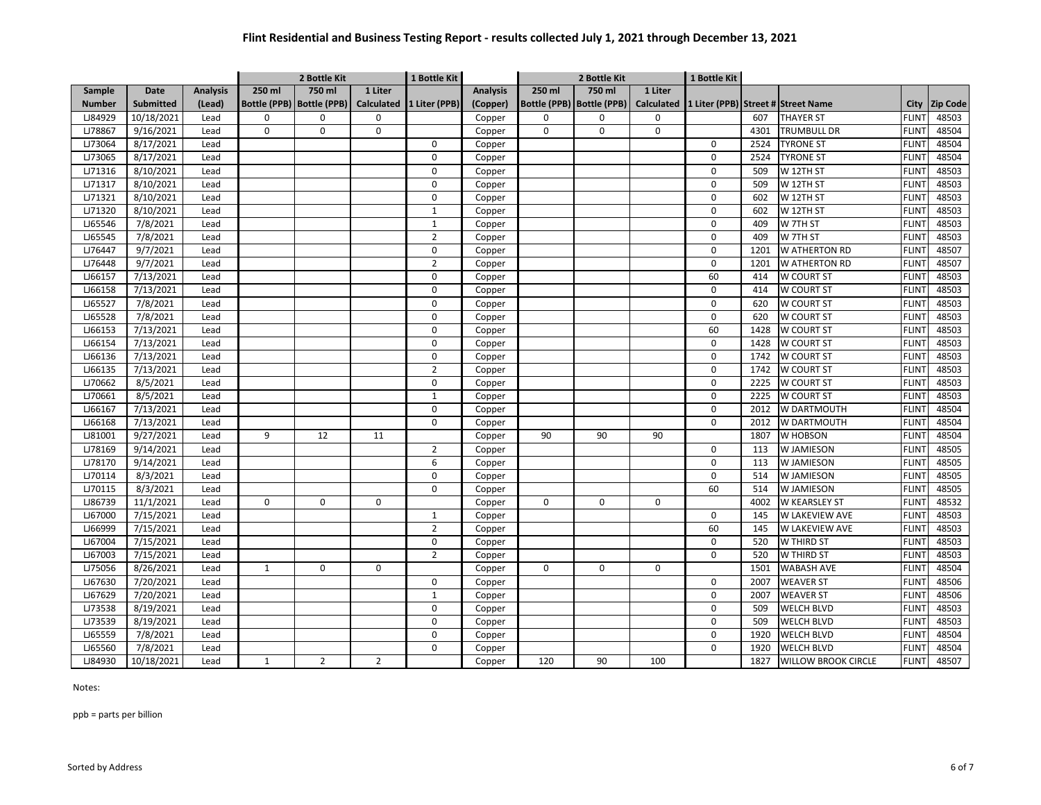|               |                  |                 |              | 2 Bottle Kit                |                | 1 Bottle Kit              |                 |             | 2 Bottle Kit                |         | 1 Bottle Kit                                   |      |                            |              |                 |
|---------------|------------------|-----------------|--------------|-----------------------------|----------------|---------------------------|-----------------|-------------|-----------------------------|---------|------------------------------------------------|------|----------------------------|--------------|-----------------|
| Sample        | Date             | <b>Analysis</b> | 250 ml       | 750 ml                      | 1 Liter        |                           | <b>Analysis</b> | 250 ml      | 750 ml                      | 1 Liter |                                                |      |                            |              |                 |
| <b>Number</b> | <b>Submitted</b> | (Lead)          |              | Bottle (PPB)   Bottle (PPB) |                | Calculated  1 Liter (PPB) | (Copper)        |             | Bottle (PPB)   Bottle (PPB) |         | Calculated  1 Liter (PPB) Street # Street Name |      |                            | City         | <b>Zip Code</b> |
| LJ84929       | 10/18/2021       | Lead            | 0            | 0                           | $\mathsf 0$    |                           | Copper          | $\mathbf 0$ | 0                           | 0       |                                                | 607  | <b>THAYER ST</b>           | <b>FLINT</b> | 48503           |
| LJ78867       | 9/16/2021        | Lead            | $\mathbf 0$  | 0                           | $\mathbf 0$    |                           | Copper          | 0           | $\mathbf 0$                 | 0       |                                                | 4301 | TRUMBULL DR                | <b>FLINT</b> | 48504           |
| LJ73064       | 8/17/2021        | Lead            |              |                             |                | 0                         | Copper          |             |                             |         | 0                                              | 2524 | <b>TYRONE ST</b>           | <b>FLINT</b> | 48504           |
| LJ73065       | 8/17/2021        | Lead            |              |                             |                | $\mathbf 0$               | Copper          |             |                             |         | $\mathbf 0$                                    | 2524 | <b>TYRONE ST</b>           | <b>FLINT</b> | 48504           |
| LJ71316       | 8/10/2021        | Lead            |              |                             |                | $\pmb{0}$                 | Copper          |             |                             |         | 0                                              | 509  | W 12TH ST                  | <b>FLINT</b> | 48503           |
| LJ71317       | 8/10/2021        | Lead            |              |                             |                | 0                         | Copper          |             |                             |         | $\mathbf 0$                                    | 509  | W 12TH ST                  | <b>FLINT</b> | 48503           |
| LJ71321       | 8/10/2021        | Lead            |              |                             |                | $\mathbf 0$               | Copper          |             |                             |         | $\mathbf 0$                                    | 602  | W 12TH ST                  | <b>FLINT</b> | 48503           |
| LJ71320       | 8/10/2021        | Lead            |              |                             |                | $\mathbf{1}$              | Copper          |             |                             |         | $\mathbf 0$                                    | 602  | W 12TH ST                  | <b>FLINT</b> | 48503           |
| LJ65546       | 7/8/2021         | Lead            |              |                             |                | $\mathbf{1}$              | Copper          |             |                             |         | 0                                              | 409  | W 7TH ST                   | <b>FLINT</b> | 48503           |
| LJ65545       | 7/8/2021         | Lead            |              |                             |                | $\overline{2}$            | Copper          |             |                             |         | $\mathbf 0$                                    | 409  | W 7TH ST                   | <b>FLINT</b> | 48503           |
| LJ76447       | 9/7/2021         | Lead            |              |                             |                | $\mathbf 0$               | Copper          |             |                             |         | $\mathbf 0$                                    | 1201 | W ATHERTON RD              | <b>FLINT</b> | 48507           |
| LJ76448       | 9/7/2021         | Lead            |              |                             |                | $\overline{2}$            | Copper          |             |                             |         | $\mathbf 0$                                    | 1201 | W ATHERTON RD              | <b>FLINT</b> | 48507           |
| LJ66157       | 7/13/2021        | Lead            |              |                             |                | $\mathbf 0$               | Copper          |             |                             |         | 60                                             | 414  | W COURT ST                 | <b>FLINT</b> | 48503           |
| LJ66158       | 7/13/2021        | Lead            |              |                             |                | $\mathbf 0$               | Copper          |             |                             |         | $\mathbf 0$                                    | 414  | W COURT ST                 | <b>FLINT</b> | 48503           |
| LJ65527       | 7/8/2021         | Lead            |              |                             |                | $\mathbf 0$               | Copper          |             |                             |         | $\mathbf 0$                                    | 620  | W COURT ST                 | <b>FLINT</b> | 48503           |
| LJ65528       | 7/8/2021         | Lead            |              |                             |                | $\mathbf 0$               | Copper          |             |                             |         | $\mathbf 0$                                    | 620  | W COURT ST                 | <b>FLINT</b> | 48503           |
| LJ66153       | 7/13/2021        | Lead            |              |                             |                | $\pmb{0}$                 | Copper          |             |                             |         | 60                                             | 1428 | W COURT ST                 | <b>FLINT</b> | 48503           |
| LJ66154       | 7/13/2021        | Lead            |              |                             |                | $\mathbf 0$               | Copper          |             |                             |         | $\mathbf 0$                                    | 1428 | W COURT ST                 | <b>FLINT</b> | 48503           |
| LJ66136       | 7/13/2021        | Lead            |              |                             |                | $\mathbf 0$               | Copper          |             |                             |         | $\Omega$                                       | 1742 | W COURT ST                 | <b>FLINT</b> | 48503           |
| LJ66135       | 7/13/2021        | Lead            |              |                             |                | $\overline{2}$            | Copper          |             |                             |         | 0                                              | 1742 | W COURT ST                 | <b>FLINT</b> | 48503           |
| LJ70662       | 8/5/2021         | Lead            |              |                             |                | $\pmb{0}$                 | Copper          |             |                             |         | $\mathbf 0$                                    | 2225 | W COURT ST                 | <b>FLINT</b> | 48503           |
| LJ70661       | 8/5/2021         | Lead            |              |                             |                | $\mathbf{1}$              | Copper          |             |                             |         | $\mathbf 0$                                    | 2225 | <b>W COURT ST</b>          | <b>FLINT</b> | 48503           |
| LJ66167       | 7/13/2021        | Lead            |              |                             |                | $\mathbf 0$               | Copper          |             |                             |         | $\mathbf 0$                                    | 2012 | W DARTMOUTH                | <b>FLINT</b> | 48504           |
| LJ66168       | 7/13/2021        | Lead            |              |                             |                | $\mathbf 0$               | Copper          |             |                             |         | $\mathbf 0$                                    | 2012 | W DARTMOUTH                | <b>FLINT</b> | 48504           |
| LJ81001       | 9/27/2021        | Lead            | 9            | 12                          | 11             |                           | Copper          | 90          | 90                          | 90      |                                                | 1807 | W HOBSON                   | <b>FLINT</b> | 48504           |
| LJ78169       | 9/14/2021        | Lead            |              |                             |                | $\overline{2}$            | Copper          |             |                             |         | $\mathbf 0$                                    | 113  | W JAMIESON                 | <b>FLINT</b> | 48505           |
| LJ78170       | 9/14/2021        | Lead            |              |                             |                | 6                         | Copper          |             |                             |         | $\Omega$                                       | 113  | W JAMIESON                 | <b>FLINT</b> | 48505           |
| LJ70114       | 8/3/2021         | Lead            |              |                             |                | $\mathbf 0$               | Copper          |             |                             |         | $\mathbf 0$                                    | 514  | W JAMIESON                 | <b>FLINT</b> | 48505           |
| LJ70115       | 8/3/2021         | Lead            |              |                             |                | 0                         | Copper          |             |                             |         | 60                                             | 514  | W JAMIESON                 | <b>FLINT</b> | 48505           |
| LJ86739       | 11/1/2021        | Lead            | $\mathbf 0$  | 0                           | $\mathbf 0$    |                           | Copper          | $\Omega$    | $\mathbf 0$                 | 0       |                                                | 4002 | W KEARSLEY ST              | <b>FLINT</b> | 48532           |
| LJ67000       | 7/15/2021        | Lead            |              |                             |                | $\mathbf{1}$              | Copper          |             |                             |         | $\mathbf 0$                                    | 145  | W LAKEVIEW AVE             | <b>FLINT</b> | 48503           |
| LJ66999       | 7/15/2021        | Lead            |              |                             |                | $\overline{2}$            | Copper          |             |                             |         | 60                                             | 145  | W LAKEVIEW AVE             | <b>FLINT</b> | 48503           |
| LJ67004       | 7/15/2021        | Lead            |              |                             |                | $\mathbf 0$               | Copper          |             |                             |         | $\mathbf 0$                                    | 520  | W THIRD ST                 | <b>FLINT</b> | 48503           |
| LJ67003       | 7/15/2021        | Lead            |              |                             |                | $\overline{2}$            | Copper          |             |                             |         | $\Omega$                                       | 520  | W THIRD ST                 | <b>FLINT</b> | 48503           |
| LJ75056       | 8/26/2021        | Lead            | $\mathbf{1}$ | 0                           | 0              |                           | Copper          | 0           | 0                           | 0       |                                                | 1501 | <b>WABASH AVE</b>          | <b>FLINT</b> | 48504           |
| LJ67630       | 7/20/2021        | Lead            |              |                             |                | 0                         | Copper          |             |                             |         | $\mathbf 0$                                    | 2007 | <b>WEAVER ST</b>           | <b>FLINT</b> | 48506           |
| LJ67629       | 7/20/2021        | Lead            |              |                             |                | $\mathbf{1}$              | Copper          |             |                             |         | $\mathbf 0$                                    | 2007 | <b>WEAVER ST</b>           | <b>FLINT</b> | 48506           |
| LJ73538       | 8/19/2021        | Lead            |              |                             |                | $\mathbf 0$               | Copper          |             |                             |         | $\mathbf 0$                                    | 509  | <b>WELCH BLVD</b>          | <b>FLINT</b> | 48503           |
| LJ73539       | 8/19/2021        | Lead            |              |                             |                | $\mathbf 0$               | Copper          |             |                             |         | $\mathbf 0$                                    | 509  | <b>WELCH BLVD</b>          | <b>FLINT</b> | 48503           |
| LJ65559       | 7/8/2021         | Lead            |              |                             |                | 0                         | Copper          |             |                             |         | $\mathbf 0$                                    | 1920 | <b>WELCH BLVD</b>          | <b>FLINT</b> | 48504           |
| LJ65560       | 7/8/2021         | Lead            |              |                             |                | 0                         | Copper          |             |                             |         | $\Omega$                                       | 1920 | WELCH BLVD                 | <b>FLINT</b> | 48504           |
| LJ84930       | 10/18/2021       | Lead            | $\mathbf{1}$ | $\overline{2}$              | $\overline{2}$ |                           | Copper          | 120         | 90                          | 100     |                                                | 1827 | <b>WILLOW BROOK CIRCLE</b> | <b>FLINT</b> | 48507           |

Notes:

ppb = parts per billion